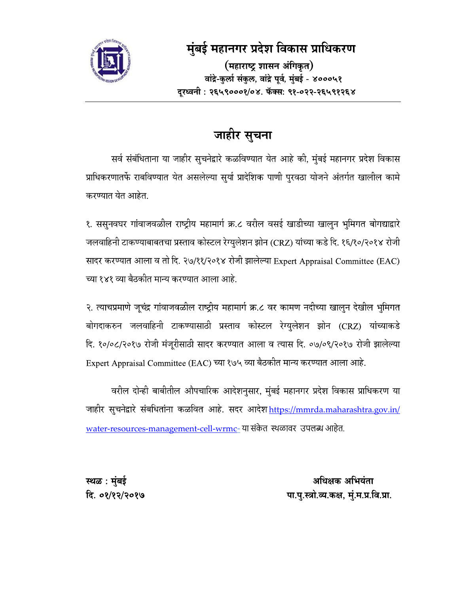

मुंबई महानगर प्रदेश विकास प्राधिकरण (महाराष्ट्र शासन अंगिकृत) वांद्रे-कुर्ला संकुल, वांद्रे पूर्व, मुंबई - ४०००५१ दुरध्वनी : २६५९०००१/०४. फॅक्स: ९१-०२२-२६५९१२६४

## जाहीर सुचना

सर्व संबंधिताना या जाहीर सुचनेद्वारे कळविण्यात येत आहे की, मुंबई महानगर प्रदेश विकास प्राधिकरणातर्फे राबविण्यात येत असलेल्या सूर्या प्रादेशिक पाणी पूरवठा योजने अंतर्गत खालील कामे करण्यात येत आहेत.

१. ससुनवघर गांवाजवळील राष्ट्रीय महामार्ग क्र.८ वरील वसई खाडीच्या खालुन भुमिगत बोगद्याद्वारे जलवाहिनी टाकण्याबाबतचा प्रस्ताव कोस्टल रेग्युलेशन झोन (CRZ) यांच्या कडे दि. १६/१०/२०१४ रोजी सादर करण्यात आला व तो दि. २७/११/२०१४ रोजी झालेल्या Expert Appraisal Committee (EAC) च्या १४१ व्या बैठकीत मान्य करण्यात आला आहे.

२. त्याचप्रमाणे जूचंद्र गांवाजवळील राष्ट्रीय महामार्ग क्र.८ वर कामण नदीच्या खालुन देखील भुमिगत बोगदाकरुन जलवाहिनी टाकण्यासाठी प्रस्ताव कोस्टल रेग्युलेशन झोन (CRZ) यांच्याकडे दि. १०/०८/२०१७ रोजी मंजूरीसाठी सादर करण्यात आला व त्यास दि. ०७/०९/२०१७ रोजी झालेल्या Expert Appraisal Committee (EAC) च्या १७५ व्या बैठकीत मान्य करण्यात आला आहे.

वरील दोन्ही बाबीतील औपचारिक आदेशनुसार, मुंबई महानगर प्रदेश विकास प्राधिकरण या जाहीर सुचनेद्वारे संबधितांना कळवित आहे. सदर आदेश https://mmrda.maharashtra.gov.in/ water-resources-management-cell-wrmc- या संकेत स्थळावर उपलब्ध आहेत.

स्थळ : मुंबई दि. ०१/१२/२०१७

अधिक्षक अभियंता पा.पु.स्त्रो.व्य.कक्ष, मुं.म.प्र.वि.प्रा.